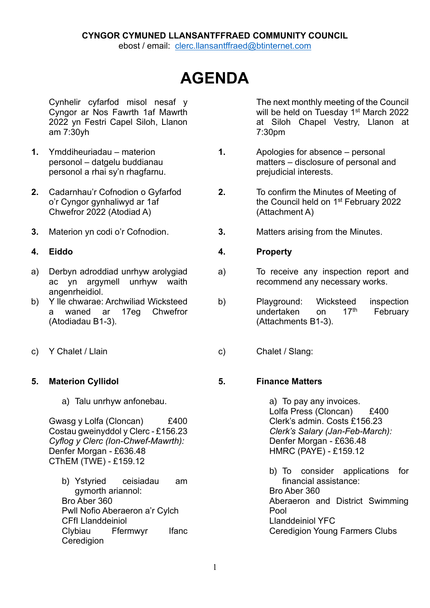## **CYNGOR CYMUNED LLANSANTFFRAED COMMUNITY COUNCIL**

ebost / email: [clerc.llansantffraed@btinternet.com](mailto:clerc.llansantffraed@btinternet.com)

# **AGENDA**

Cynhelir cyfarfod misol nesaf y Cyngor ar Nos Fawrth 1af Mawrth 2022 yn Festri Capel Siloh, Llanon am 7:30yh

- **1.** Ymddiheuriadau materion personol – datgelu buddianau personol a rhai sy'n rhagfarnu.
- **2.** Cadarnhau'r Cofnodion o Gyfarfod o'r Cyngor gynhaliwyd ar 1af Chwefror 2022 (Atodiad A)
- 

- a) Derbyn adroddiad unrhyw arolygiad ac yn argymell unrhyw waith angenrheidiol.
- b) Y lle chwarae: Archwiliad Wicksteed a waned ar 17eg Chwefror (Atodiadau B1-3).
- 

### **5. Materion Cyllidol**

a) Talu unrhyw anfonebau.

Gwasg y Lolfa (Cloncan) £400 Costau gweinyddol y Clerc - £156.23 *Cyflog y Clerc (Ion-Chwef-Mawrth):* Denfer Morgan - £636.48 CThEM (TWE) - £159.12

b) Ystyried ceisiadau am gymorth ariannol: Bro Aber 360 Pwll Nofio Aberaeron a'r Cylch CFfI Llanddeiniol Clybiau Ffermwyr Ifanc **Ceredigion** 

The next monthly meeting of the Council will be held on Tuesday 1<sup>st</sup> March 2022 at Siloh Chapel Vestry, Llanon at 7:30pm

- **1.** Apologies for absence personal matters – disclosure of personal and prejudicial interests.
- **2.** To confirm the Minutes of Meeting of the Council held on 1<sup>st</sup> February 2022 (Attachment A)
- **3.** Materion yn codi o'r Cofnodion. **3.** Matters arising from the Minutes.

#### **4. Eiddo 4. Property**

- a) To receive any inspection report and recommend any necessary works.
- b) Playground: Wicksteed inspection undertaken on 17<sup>th</sup> February (Attachments B1-3).
- c) Y Chalet / Llain c) Chalet / Slang:

### **5. Finance Matters**

a) To pay any invoices. Lolfa Press (Cloncan) £400 Clerk's admin. Costs £156.23 *Clerk's Salary (Jan-Feb-March):* Denfer Morgan - £636.48 HMRC (PAYE) - £159.12

b) To consider applications for financial assistance: Bro Aber 360 Aberaeron and District Swimming Pool Llanddeiniol YFC Ceredigion Young Farmers Clubs